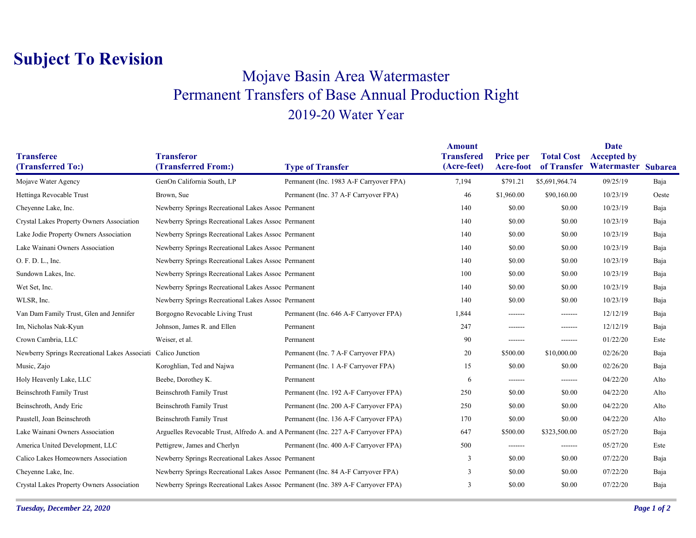## **Subject To Revision**

## Mojave Basin Area Watermaster Permanent Transfers of Base Annual Production Right 2019-20 Water Year

|                                                               |                                                                                    |                                         | <b>Amount</b>                    |                                      |                   | <b>Date</b>                                           |       |
|---------------------------------------------------------------|------------------------------------------------------------------------------------|-----------------------------------------|----------------------------------|--------------------------------------|-------------------|-------------------------------------------------------|-------|
| <b>Transferee</b><br>(Transferred To:)                        | <b>Transferor</b><br>(Transferred From:)                                           | <b>Type of Transfer</b>                 | <b>Transfered</b><br>(Acre-feet) | <b>Price per</b><br><b>Acre-foot</b> | <b>Total Cost</b> | <b>Accepted by</b><br>of Transfer Watermaster Subarea |       |
| Mojave Water Agency                                           | GenOn California South, LP                                                         | Permanent (Inc. 1983 A-F Carryover FPA) | 7,194                            | \$791.21                             | \$5,691,964.74    | 09/25/19                                              | Baja  |
|                                                               |                                                                                    |                                         |                                  |                                      |                   |                                                       |       |
| Hettinga Revocable Trust                                      | Brown, Sue                                                                         | Permanent (Inc. 37 A-F Carryover FPA)   | 46                               | \$1,960.00                           | \$90,160.00       | 10/23/19                                              | Oeste |
| Cheyenne Lake, Inc.                                           | Newberry Springs Recreational Lakes Assoc Permanent                                |                                         | 140                              | \$0.00                               | \$0.00            | 10/23/19                                              | Baja  |
| Crystal Lakes Property Owners Association                     | Newberry Springs Recreational Lakes Assoc Permanent                                |                                         | 140                              | \$0.00                               | \$0.00            | 10/23/19                                              | Baja  |
| Lake Jodie Property Owners Association                        | Newberry Springs Recreational Lakes Assoc Permanent                                |                                         | 140                              | \$0.00                               | \$0.00            | 10/23/19                                              | Baja  |
| Lake Wainani Owners Association                               | Newberry Springs Recreational Lakes Assoc Permanent                                |                                         | 140                              | \$0.00                               | \$0.00            | 10/23/19                                              | Baja  |
| O. F. D. L., Inc.                                             | Newberry Springs Recreational Lakes Assoc Permanent                                |                                         | 140                              | \$0.00                               | \$0.00            | 10/23/19                                              | Baja  |
| Sundown Lakes, Inc.                                           | Newberry Springs Recreational Lakes Assoc Permanent                                |                                         | 100                              | \$0.00                               | \$0.00            | 10/23/19                                              | Baja  |
| Wet Set, Inc.                                                 | Newberry Springs Recreational Lakes Assoc Permanent                                |                                         | 140                              | \$0.00                               | \$0.00            | 10/23/19                                              | Baja  |
| WLSR, Inc.                                                    | Newberry Springs Recreational Lakes Assoc Permanent                                |                                         | 140                              | \$0.00                               | \$0.00            | 10/23/19                                              | Baja  |
| Van Dam Family Trust, Glen and Jennifer                       | Borgogno Revocable Living Trust                                                    | Permanent (Inc. 646 A-F Carryover FPA)  | 1,844                            | -------                              | -------           | 12/12/19                                              | Baja  |
| Im, Nicholas Nak-Kyun                                         | Johnson, James R. and Ellen                                                        | Permanent                               | 247                              | -------                              | -------           | 12/12/19                                              | Baja  |
| Crown Cambria, LLC                                            | Weiser, et al.                                                                     | Permanent                               | 90                               | -------                              | -------           | 01/22/20                                              | Este  |
| Newberry Springs Recreational Lakes Associati Calico Junction |                                                                                    | Permanent (Inc. 7 A-F Carryover FPA)    | 20                               | \$500.00                             | \$10,000.00       | 02/26/20                                              | Baja  |
| Music, Zajo                                                   | Koroghlian, Ted and Najwa                                                          | Permanent (Inc. 1 A-F Carryover FPA)    | 15                               | \$0.00                               | \$0.00            | 02/26/20                                              | Baja  |
| Holy Heavenly Lake, LLC                                       | Beebe, Dorothey K.                                                                 | Permanent                               | 6                                | -------                              | -------           | 04/22/20                                              | Alto  |
| <b>Beinschroth Family Trust</b>                               | <b>Beinschroth Family Trust</b>                                                    | Permanent (Inc. 192 A-F Carryover FPA)  | 250                              | \$0.00                               | \$0.00            | 04/22/20                                              | Alto  |
| Beinschroth, Andy Eric                                        | Beinschroth Family Trust                                                           | Permanent (Inc. 200 A-F Carryover FPA)  | 250                              | \$0.00                               | \$0.00            | 04/22/20                                              | Alto  |
| Paustell, Joan Beinschroth                                    | Beinschroth Family Trust                                                           | Permanent (Inc. 136 A-F Carryover FPA)  | 170                              | \$0.00                               | \$0.00            | 04/22/20                                              | Alto  |
| Lake Wainani Owners Association                               | Arguelles Revocable Trust, Alfredo A. and A Permanent (Inc. 227 A-F Carryover FPA) |                                         | 647                              | \$500.00                             | \$323,500.00      | 05/27/20                                              | Baja  |
| America United Development, LLC                               | Pettigrew, James and Cherlyn                                                       | Permanent (Inc. 400 A-F Carryover FPA)  | 500                              | -------                              | -------           | 05/27/20                                              | Este  |
| Calico Lakes Homeowners Association                           | Newberry Springs Recreational Lakes Assoc Permanent                                |                                         | 3                                | \$0.00                               | \$0.00            | 07/22/20                                              | Baja  |
| Cheyenne Lake, Inc.                                           | Newberry Springs Recreational Lakes Assoc Permanent (Inc. 84 A-F Carryover FPA)    |                                         | 3                                | \$0.00                               | \$0.00            | 07/22/20                                              | Baja  |
| Crystal Lakes Property Owners Association                     | Newberry Springs Recreational Lakes Assoc Permanent (Inc. 389 A-F Carryover FPA)   |                                         | 3                                | \$0.00                               | \$0.00            | 07/22/20                                              | Baja  |